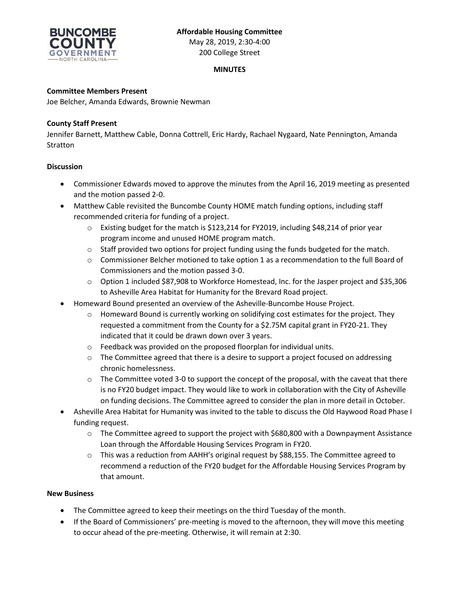

# **MINUTES**

## **Committee Members Present**

Joe Belcher, Amanda Edwards, Brownie Newman

### **County Staff Present**

Jennifer Barnett, Matthew Cable, Donna Cottrell, Eric Hardy, Rachael Nygaard, Nate Pennington, Amanda Stratton

### **Discussion**

- Commissioner Edwards moved to approve the minutes from the April 16, 2019 meeting as presented and the motion passed 2-0.
- Matthew Cable revisited the Buncombe County HOME match funding options, including staff recommended criteria for funding of a project.
	- $\circ$  Existing budget for the match is \$123,214 for FY2019, including \$48,214 of prior year program income and unused HOME program match.
	- $\circ$  Staff provided two options for project funding using the funds budgeted for the match.
	- $\circ$  Commissioner Belcher motioned to take option 1 as a recommendation to the full Board of Commissioners and the motion passed 3-0.
	- o Option 1 included \$87,908 to Workforce Homestead, Inc. for the Jasper project and \$35,306 to Asheville Area Habitat for Humanity for the Brevard Road project.
- Homeward Bound presented an overview of the Asheville-Buncombe House Project.
	- $\circ$  Homeward Bound is currently working on solidifying cost estimates for the project. They requested a commitment from the County for a \$2.75M capital grant in FY20-21. They indicated that it could be drawn down over 3 years.
	- o Feedback was provided on the proposed floorplan for individual units.
	- $\circ$  The Committee agreed that there is a desire to support a project focused on addressing chronic homelessness.
	- $\circ$  The Committee voted 3-0 to support the concept of the proposal, with the caveat that there is no FY20 budget impact. They would like to work in collaboration with the City of Asheville on funding decisions. The Committee agreed to consider the plan in more detail in October.
- Asheville Area Habitat for Humanity was invited to the table to discuss the Old Haywood Road Phase I funding request.
	- $\circ$  The Committee agreed to support the project with \$680,800 with a Downpayment Assistance Loan through the Affordable Housing Services Program in FY20.
	- o This was a reduction from AAHH's original request by \$88,155. The Committee agreed to recommend a reduction of the FY20 budget for the Affordable Housing Services Program by that amount.

#### **New Business**

- The Committee agreed to keep their meetings on the third Tuesday of the month.
- If the Board of Commissioners' pre-meeting is moved to the afternoon, they will move this meeting to occur ahead of the pre-meeting. Otherwise, it will remain at 2:30.